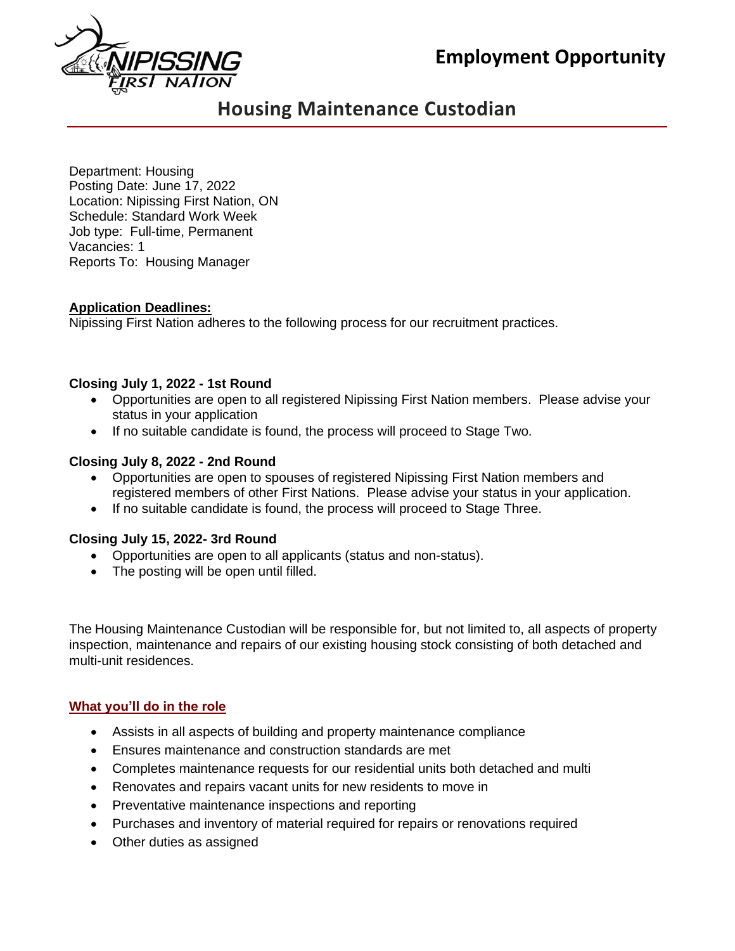**Employment Opportunity**



# **Housing Maintenance Custodian**

Department: Housing Posting Date: June 17, 2022 Location: Nipissing First Nation, ON Schedule: Standard Work Week Job type: Full-time, Permanent Vacancies: 1 Reports To: Housing Manager

## **Application Deadlines:**

Nipissing First Nation adheres to the following process for our recruitment practices.

## **Closing July 1, 2022 - 1st Round**

- Opportunities are open to all registered Nipissing First Nation members. Please advise your status in your application
- If no suitable candidate is found, the process will proceed to Stage Two.

## **Closing July 8, 2022 - 2nd Round**

- Opportunities are open to spouses of registered Nipissing First Nation members and registered members of other First Nations. Please advise your status in your application.
- If no suitable candidate is found, the process will proceed to Stage Three.

# **Closing July 15, 2022- 3rd Round**

- Opportunities are open to all applicants (status and non-status).
- The posting will be open until filled.

The Housing Maintenance Custodian will be responsible for, but not limited to, all aspects of property inspection, maintenance and repairs of our existing housing stock consisting of both detached and multi-unit residences.

# **What you'll do in the role**

- Assists in all aspects of building and property maintenance compliance
- Ensures maintenance and construction standards are met
- Completes maintenance requests for our residential units both detached and multi
- Renovates and repairs vacant units for new residents to move in
- Preventative maintenance inspections and reporting
- Purchases and inventory of material required for repairs or renovations required
- Other duties as assigned